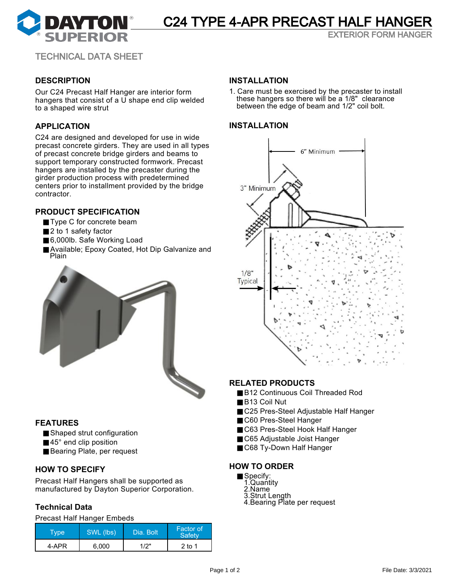

# C24 TYPE 4-APR PRECAST HALF HANGER

EXTERIOR FORM HANGER

TECHNICAL DATA SHEET

# **DESCRIPTION**

Our C24 Precast Half Hanger are interior form hangers that consist of a U shape end clip welded to a shaped wire strut

## **APPLICATION**

C24 are designed and developed for use in wide precast concrete girders. They are used in all types of precast concrete bridge girders and beams to support temporary constructed formwork. Precast hangers are installed by the precaster during the girder production process with predetermined centers prior to installment provided by the bridge contractor.

## **PRODUCT SPECIFICATION**

- Type C for concrete beam
- 2 to 1 safety factor
- 6,000lb. Safe Working Load
- Available; Epoxy Coated, Hot Dip Galvanize and Plain



# **FEATURES**

■ Shaped strut configuration

- 45° end clip position
- Bearing Plate, per request

# **HOW TO SPECIFY**

Precast Half Hangers shall be supported as manufactured by Dayton Superior Corporation.

# **Technical Data**

Precast Half Hanger Embeds

| [ype] | SWL (lbs) | Dia, Bolt | <b>Factor of</b><br><b>Safety</b> |
|-------|-----------|-----------|-----------------------------------|
| 4-APR | 6.000     | 1/2"      | 2 to 1                            |

#### **INSTALLATION**

1. Care must be exercised by the precaster to install these hangers so there will be a 1/8" clearance between the edge of beam and 1/2" coil bolt.

### **INSTALLATION**



# **RELATED PRODUCTS**

- B12 Continuous Coil Threaded Rod
- B13 Coil Nut
- C25 Pres-Steel Adjustable Half Hanger
- C60 Pres-Steel Hanger
- C63 Pres-Steel Hook Half Hanger
- C65 Adjustable Joist Hanger
- C68 Ty-Down Half Hanger

#### **HOW TO ORDER**

- Specify:
	- 1.Quantity
	- 2.Name
	- 3.Strut Length 4.Bearing Plate per request